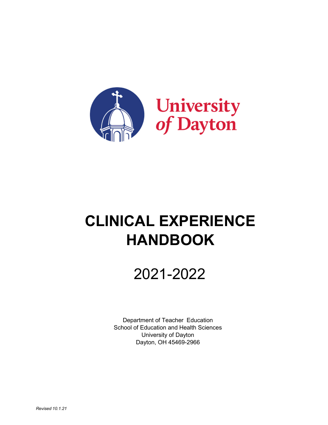

# **CLINICAL EXPERIENCE HANDBOOK**

# 2021-2022

Department of Teacher Education School of Education and Health Sciences University of Dayton Dayton, OH 45469-2966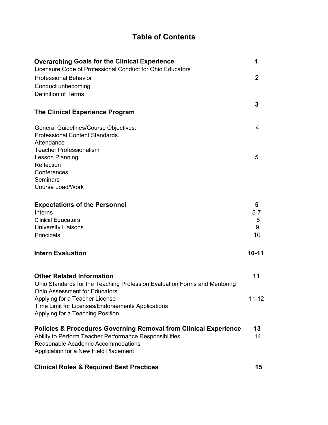## **Table of Contents**

| <b>Overarching Goals for the Clinical Experience</b><br>Licensure Code of Professional Conduct for Ohio Educators | 1              |
|-------------------------------------------------------------------------------------------------------------------|----------------|
| <b>Professional Behavior</b>                                                                                      | $\overline{2}$ |
| Conduct unbecoming                                                                                                |                |
| <b>Definition of Terms</b>                                                                                        |                |
|                                                                                                                   |                |
| <b>The Clinical Experience Program</b>                                                                            | 3              |
| General Guidelines/Course Objectives.                                                                             | 4              |
| Professional Content Standards.                                                                                   |                |
| Attendance                                                                                                        |                |
| <b>Teacher Professionalism</b>                                                                                    |                |
| Lesson Planning                                                                                                   | 5              |
| Reflection                                                                                                        |                |
| Conferences                                                                                                       |                |
| Seminars                                                                                                          |                |
| <b>Course Load/Work</b>                                                                                           |                |
| <b>Expectations of the Personnel</b>                                                                              | 5              |
| <b>Interns</b>                                                                                                    | $5 - 7$        |
| <b>Clinical Educators</b>                                                                                         | 8              |
| <b>University Liaisons</b>                                                                                        | 9              |
| Principals                                                                                                        | 10             |
| <b>Intern Evaluation</b>                                                                                          | $10 - 11$      |
| <b>Other Related Information</b>                                                                                  | 11             |
| Ohio Standards for the Teaching Profession Evaluation Forms and Mentoring                                         |                |
| <b>Ohio Assessment for Educators</b>                                                                              |                |
| Applying for a Teacher License                                                                                    | $11 - 12$      |
| Time Limit for Licenses/Endorsements Applications                                                                 |                |
| Applying for a Teaching Position                                                                                  |                |
| <b>Policies &amp; Procedures Governing Removal from Clinical Experience</b>                                       | 13             |
| Ability to Perform Teacher Performance Responsibilities                                                           | 14             |
| Reasonable Academic Accommodations                                                                                |                |
| Application for a New Field Placement                                                                             |                |
|                                                                                                                   |                |

# **Clinical Roles & Required Best Practices 15**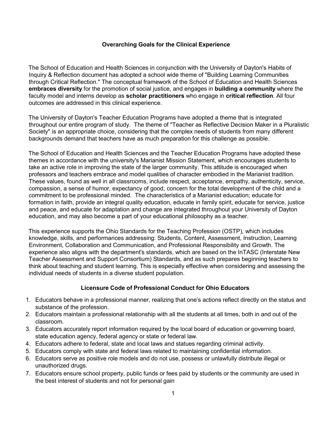#### **Overarching Goals for the Clinical Experience**

The School of Education and Health Sciences in conjunction with the University of Dayton's Habits of Inquiry & Reflection document has adopted a school wide theme of "Building Learning Communities through Critical Reflection." The conceptual framework of the School of Education and Health Sciences **embraces diversity** for the promotion of social justice, and engages in **building a community** where the faculty model and interns develop as **scholar practitioners** who engage in **critical reflection**. All four outcomes are addressed in this clinical experience.

The University of Dayton's Teacher Education Programs have adopted a theme that is integrated throughout our entire program of study. The theme of "Teacher as Reflective Decision Maker in a Pluralistic Society" is an appropriate choice, considering that the complex needs of students from many different backgrounds demand that teachers have as much preparation for this challenge as possible.

The School of Education and Health Sciences and the Teacher Education Programs have adopted these themes in accordance with the university's Marianist Mission Statement, which encourages students to take an active role in improving the state of the larger community. This attitude is encouraged when professors and teachers embrace and model qualities of character embodied in the Marianist tradition. These values, found as well in all classrooms, include respect, acceptance, empathy, authenticity, service, compassion, a sense of humor, expectancy of good, concern for the total development of the child and a commitment to be professional minded. The characteristics of a Marianist education; educate for formation in faith, provide an integral quality education, educate in family spirit, educate for service, justice and peace, and educate for adaptation and change are integrated throughout your University of Dayton education, and may also become a part of your educational philosophy as a teacher.

This experience supports the Ohio Standards for the Teaching Profession (OSTP), which includes knowledge, skills, and performances addressing: Students, Content, Assessment, Instruction, Learning Environment, Collaboration and Communication, and Professional Responsibility and Growth. The experience also aligns with the department's standards, which are based on the InTASC (Interstate New Teacher Assessment and Support Consortium) Standards, and as such prepares beginning teachers to think about teaching and student learning. This is especially effective when considering and assessing the individual needs of students in a diverse student population.

## **Licensure Code of Professional Conduct for Ohio Educators**

- 1. Educators behave in a professional manner, realizing that one's actions reflect directly on the status and substance of the profession.
- 2. Educators maintain a professional relationship with all the students at all times, both in and out of the classroom.
- 3. Educators accurately report information required by the local board of education or governing board, state education agency, federal agency or state or federal law.
- 4. Educators adhere to federal, state and local laws and statues regarding criminal activity.
- 5. Educators comply with state and federal laws related to maintaining confidential information.
- 6. Educators serve as positive role models and do not use, possess or unlawfully distribute illegal or unauthorized drugs.
- 7. Educators ensure school property, public funds or fees paid by students or the community are used in the best interest of students and not for personal gain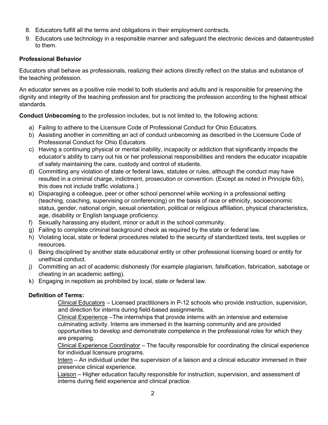- 8. Educators fulfill all the terms and obligations in their employment contracts.
- 9. Educators use technology in a responsible manner and safeguard the electronic devices and dataentrusted to them.

#### **Professional Behavior**

Educators shall behave as professionals, realizing their actions directly reflect on the status and substance of the teaching profession.

An educator serves as a positive role model to both students and adults and is responsible for preserving the dignity and integrity of the teaching profession and for practicing the profession according to the highest ethical standards.

**Conduct Unbecoming** to the profession includes, but is not limited to, the following actions:

- a) Failing to adhere to the Licensure Code of Professional Conduct for Ohio Educators.
- b) Assisting another in committing an act of conduct unbecoming as described in the Licensure Code of Professional Conduct for Ohio Educators.
- c) Having a continuing physical or mental inability, incapacity or addiction that significantly impacts the educator's ability to carry out his or her professional responsibilities and renders the educator incapable of safely maintaining the care, custody and control of students.
- d) Committing any violation of state or federal laws, statutes or rules, although the conduct may have resulted in a criminal charge, indictment, prosecution or convention. (Except as noted in Principle 6(b), this does not include traffic violations.)
- e) Disparaging a colleague, peer or other school personnel while working in a professional setting (teaching, coaching, supervising or conferencing) on the basis of race or ethnicity, socioeconomic status, gender, national origin, sexual orientation, political or religious affiliation, physical characteristics, age, disability or English language proficiency.
- f) Sexually harassing any student, minor or adult in the school community.
- g) Failing to complete criminal background check as required by the state or federal law.
- h) Violating local, state or federal procedures related to the security of standardized tests, test supplies or resources.
- i) Being disciplined by another state educational entity or other professional licensing board or entity for unethical conduct.
- j) Committing an act of academic dishonesty (for example plagiarism, falsification, fabrication, sabotage or cheating in an academic setting).
- k) Engaging in nepotism as prohibited by local, state or federal law.

## **Definition of Terms:**

Clinical Educators – Licensed practitioners in P-12 schools who provide instruction, supervision, and direction for interns during field-based assignments.

Clinical Experience –The internships that provide interns with an intensive and extensive culminating activity. Interns are immersed in the learning community and are provided opportunities to develop and demonstrate competence in the professional roles for which they are preparing.

Clinical Experience Coordinator – The faculty responsible for coordinating the clinical experience for individual licensure programs.

Intern – An individual under the supervision of a liaison and a clinical educator immersed in their preservice clinical experience.

Liaison – Higher education faculty responsible for instruction, supervision, and assessment of interns during field experience and clinical practice.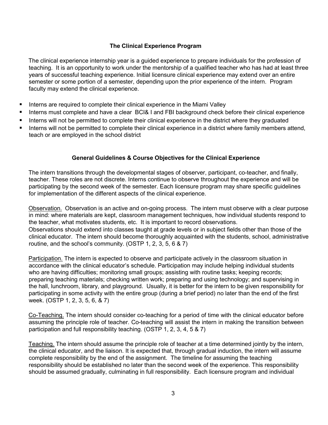#### **The Clinical Experience Program**

The clinical experience internship year is a guided experience to prepare individuals for the profession of teaching. It is an opportunity to work under the mentorship of a qualified teacher who has had at least three years of successful teaching experience. Initial licensure clinical experience may extend over an entire semester or some portion of a semester, depending upon the prior experience of the intern. Program faculty may extend the clinical experience.

- Interns are required to complete their clinical experience in the Miami Valley
- Interns must complete and have a clear BCI& I and FBI background check before their clinical experience
- Interns will not be permitted to complete their clinical experience in the district where they graduated
- Interns will not be permitted to complete their clinical experience in a district where family members attend, teach or are employed in the school district

#### **General Guidelines & Course Objectives for the Clinical Experience**

The intern transitions through the developmental stages of observer, participant, co-teacher, and finally, teacher. These roles are not discrete. Interns continue to observe throughout the experience and will be participating by the second week of the semester. Each licensure program may share specific guidelines for implementation of the different aspects of the clinical experience.

Observation. Observation is an active and on-going process. The intern must observe with a clear purpose in mind: where materials are kept, classroom management techniques, how individual students respond to the teacher, what motivates students, etc. It is important to record observations. Observations should extend into classes taught at grade levels or in subject fields other than those of the clinical educator. The intern should become thoroughly acquainted with the students, school, administrative routine, and the school's community. (OSTP 1, 2, 3, 5, 6 & 7)

Participation. The intern is expected to observe and participate actively in the classroom situation in accordance with the clinical educator's schedule. Participation may include helping individual students who are having difficulties; monitoring small groups; assisting with routine tasks; keeping records; preparing teaching materials; checking written work; preparing and using technology; and supervising in the hall, lunchroom, library, and playground. Usually, it is better for the intern to be given responsibility for participating in some activity with the entire group (during a brief period) no later than the end of the first week. (OSTP 1, 2, 3, 5, 6, & 7)

Co-Teaching. The intern should consider co-teaching for a period of time with the clinical educator before assuming the principle role of teacher. Co-teaching will assist the intern in making the transition between participation and full responsibility teaching. (OSTP 1, 2, 3, 4, 5 & 7)

Teaching. The intern should assume the principle role of teacher at a time determined jointly by the intern, the clinical educator, and the liaison. It is expected that, through gradual induction, the intern will assume complete responsibility by the end of the assignment. The timeline for assuming the teaching responsibility should be established no later than the second week of the experience. This responsibility should be assumed gradually, culminating in full responsibility. Each licensure program and individual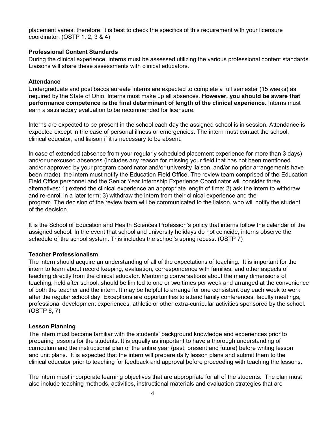placement varies; therefore, it is best to check the specifics of this requirement with your licensure coordinator. (OSTP 1, 2, 3 & 4)

#### **Professional Content Standards**

During the clinical experience, interns must be assessed utilizing the various professional content standards. .Liaisons will share these assessments with clinical educators.

#### **Attendance**

Undergraduate and post baccalaureate interns are expected to complete a full semester (15 weeks) as required by the State of Ohio. Interns must make up all absences. **However, you should be aware that performance competence is the final determinant of length of the clinical experience.** Interns must earn a satisfactory evaluation to be recommended for licensure.

Interns are expected to be present in the school each day the assigned school is in session. Attendance is expected except in the case of personal illness or emergencies. The intern must contact the school, clinical educator, and liaison if it is necessary to be absent.

In case of extended (absence from your regularly scheduled placement experience for more than 3 days) and/or unexcused absences (includes any reason for missing your field that has not been mentioned and/or approved by your program coordinator and/or university liaison, and/or no prior arrangements have been made), the intern must notify the Education Field Office. The review team comprised of the Education Field Office personnel and the Senior Year Internship Experience Coordinator will consider three alternatives: 1) extend the clinical experience an appropriate length of time; 2) ask the intern to withdraw and re-enroll in a later term; 3) withdraw the intern from their clinical experience and the program. The decision of the review team will be communicated to the liaison, who will notify the student of the decision.

It is the School of Education and Health Sciences Profession's policy that interns follow the calendar of the assigned school. In the event that school and university holidays do not coincide, interns observe the schedule of the school system. This includes the school's spring recess. (OSTP 7)

## **Teacher Professionalism**

The intern should acquire an understanding of all of the expectations of teaching. It is important for the intern to learn about record keeping, evaluation, correspondence with families, and other aspects of teaching directly from the clinical educator. Mentoring conversations about the many dimensions of teaching, held after school, should be limited to one or two times per week and arranged at the convenience of both the teacher and the intern. It may be helpful to arrange for one consistent day each week to work after the regular school day. Exceptions are opportunities to attend family conferences, faculty meetings, professional development experiences, athletic or other extra-curricular activities sponsored by the school. (OSTP 6, 7)

## **Lesson Planning**

The intern must become familiar with the students' background knowledge and experiences prior to preparing lessons for the students. It is equally as important to have a thorough understanding of curriculum and the instructional plan of the entire year (past, present and future) before writing lesson and unit plans. It is expected that the intern will prepare daily lesson plans and submit them to the clinical educator prior to teaching for feedback and approval before proceeding with teaching the lessons.

The intern must incorporate learning objectives that are appropriate for all of the students. The plan must also include teaching methods, activities, instructional materials and evaluation strategies that are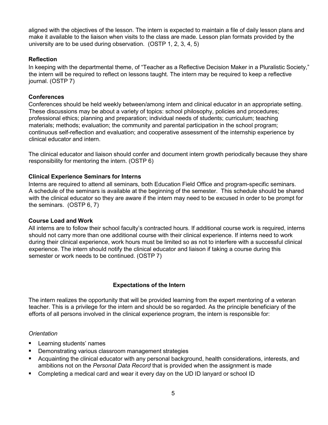aligned with the objectives of the lesson. The intern is expected to maintain a file of daily lesson plans and make it available to the liaison when visits to the class are made. Lesson plan formats provided by the university are to be used during observation. (OSTP 1, 2, 3, 4, 5)

#### **Reflection**

In keeping with the departmental theme, of "Teacher as a Reflective Decision Maker in a Pluralistic Society," the intern will be required to reflect on lessons taught. The intern may be required to keep a reflective journal. (OSTP 7)

#### **Conferences**

Conferences should be held weekly between/among intern and clinical educator in an appropriate setting. These discussions may be about a variety of topics: school philosophy, policies and procedures; professional ethics; planning and preparation; individual needs of students; curriculum; teaching materials; methods; evaluation; the community and parental participation in the school program; continuous self-reflection and evaluation; and cooperative assessment of the internship experience by clinical educator and intern.

The clinical educator and liaison should confer and document intern growth periodically because they share responsibility for mentoring the intern. (OSTP 6)

#### **Clinical Experience Seminars for Interns**

Interns are required to attend all seminars, both Education Field Office and program-specific seminars. A schedule of the seminars is available at the beginning of the semester. This schedule should be shared with the clinical educator so they are aware if the intern may need to be excused in order to be prompt for the seminars. (OSTP 6, 7)

#### **Course Load and Work**

All interns are to follow their school faculty's contracted hours. If additional course work is required, interns should not carry more than one additional course with their clinical experience. If interns need to work during their clinical experience, work hours must be limited so as not to interfere with a successful clinical experience. The intern should notify the clinical educator and liaison if taking a course during this semester or work needs to be continued. (OSTP 7)

## **Expectations of the Intern**

The intern realizes the opportunity that will be provided learning from the expert mentoring of a veteran teacher. This is a privilege for the intern and should be so regarded. As the principle beneficiary of the efforts of all persons involved in the clinical experience program, the intern is responsible for:

## *Orientation*

- Learning students' names
- Demonstrating various classroom management strategies
- Acquainting the clinical educator with any personal background, health considerations, interests, and ambitions not on the *Personal Data Record* that is provided when the assignment is made
- Completing a medical card and wear it every day on the UD ID lanyard or school ID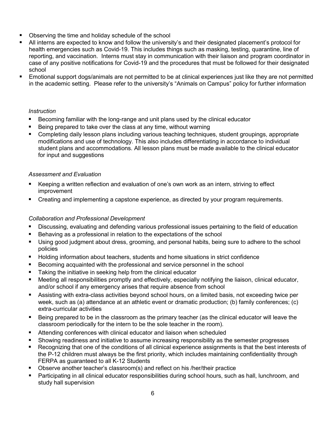- Observing the time and holiday schedule of the school
- All interns are expected to know and follow the university's and their designated placement's protocol for health emergencies such as Covid-19. This includes things such as masking, testing, quarantine, line of reporting, and vaccination. Interns must stay in communication with their liaison and program coordinator in case of any positive notifications for Covid-19 and the procedures that must be followed for their designated school
- Emotional support dogs/animals are not permitted to be at clinical experiences just like they are not permitted in the academic setting. Please refer to the university's "Animals on Campus" policy for further information

## *Instruction*

- Becoming familiar with the long-range and unit plans used by the clinical educator
- Being prepared to take over the class at any time, without warning
- Completing daily lesson plans including various teaching techniques, student groupings, appropriate modifications and use of technology. This also includes differentiating in accordance to individual student plans and accommodations. All lesson plans must be made available to the clinical educator for input and suggestions

#### *Assessment and Evaluation*

- Keeping a written reflection and evaluation of one's own work as an intern, striving to effect improvement
- Creating and implementing a capstone experience, as directed by your program requirements.

## *Collaboration and Professional Development*

- Discussing, evaluating and defending various professional issues pertaining to the field of education
- Behaving as a professional in relation to the expectations of the school
- Using good judgment about dress, grooming, and personal habits, being sure to adhere to the school policies
- Holding information about teachers, students and home situations in strict confidence
- Becoming acquainted with the professional and service personnel in the school
- Taking the initiative in seeking help from the clinical educator
- Meeting all responsibilities promptly and effectively, especially notifying the liaison, clinical educator, and/or school if any emergency arises that require absence from school
- Assisting with extra-class activities beyond school hours, on a limited basis, not exceeding twice per week, such as (a) attendance at an athletic event or dramatic production; (b) family conferences; (c) extra-curricular activities
- Being prepared to be in the classroom as the primary teacher (as the clinical educator will leave the classroom periodically for the intern to be the sole teacher in the room).
- Attending conferences with clinical educator and liaison when scheduled
- Showing readiness and initiative to assume increasing responsibility as the semester progresses
- Recognizing that one of the conditions of all clinical experience assignments is that the best interests of the P-12 children must always be the first priority, which includes maintaining confidentiality through FERPA as guaranteed to all K-12 Students
- Observe another teacher's classroom(s) and reflect on his /her/their practice
- Participating in all clinical educator responsibilities during school hours, such as hall, lunchroom, and study hall supervision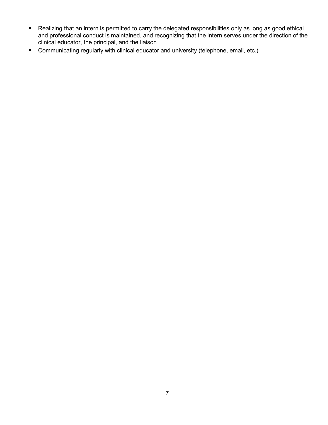- Realizing that an intern is permitted to carry the delegated responsibilities only as long as good ethical and professional conduct is maintained, and recognizing that the intern serves under the direction of the clinical educator, the principal, and the liaison
- **Communicating regularly with clinical educator and university (telephone, email, etc.)**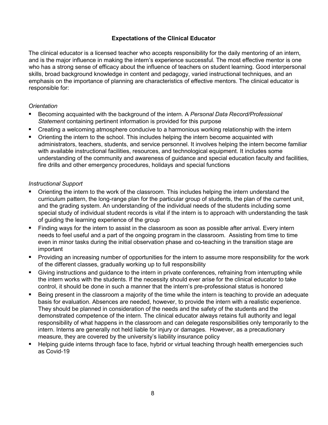## **Expectations of the Clinical Educator**

The clinical educator is a licensed teacher who accepts responsibility for the daily mentoring of an intern, and is the major influence in making the intern's experience successful. The most effective mentor is one who has a strong sense of efficacy about the influence of teachers on student learning. Good interpersonal skills, broad background knowledge in content and pedagogy, varied instructional techniques, and an emphasis on the importance of planning are characteristics of effective mentors. The clinical educator is responsible for:

#### *Orientation*

- Becoming acquainted with the background of the intern. A *Personal Data Record/Professional Statement* containing pertinent information is provided for this purpose
- Creating a welcoming atmosphere conducive to a harmonious working relationship with the intern
- Orienting the intern to the school. This includes helping the intern become acquainted with administrators, teachers, students, and service personnel. It involves helping the intern become familiar with available instructional facilities, resources, and technological equipment. It includes some understanding of the community and awareness of guidance and special education faculty and facilities, fire drills and other emergency procedures, holidays and special functions

#### *Instructional Support*

- Orienting the intern to the work of the classroom. This includes helping the intern understand the curriculum pattern, the long-range plan for the particular group of students, the plan of the current unit, and the grading system. An understanding of the individual needs of the students including some special study of individual student records is vital if the intern is to approach with understanding the task of guiding the learning experience of the group
- Finding ways for the intern to assist in the classroom as soon as possible after arrival. Every intern needs to feel useful and a part of the ongoing program in the classroom. Assisting from time to time even in minor tasks during the initial observation phase and co-teaching in the transition stage are important
- Providing an increasing number of opportunities for the intern to assume more responsibility for the work of the different classes, gradually working up to full responsibility
- Giving instructions and guidance to the intern in private conferences, refraining from interrupting while the intern works with the students. If the necessity should ever arise for the clinical educator to take control, it should be done in such a manner that the intern's pre-professional status is honored
- Being present in the classroom a majority of the time while the intern is teaching to provide an adequate basis for evaluation. Absences are needed, however, to provide the intern with a realistic experience. They should be planned in consideration of the needs and the safety of the students and the demonstrated competence of the intern. The clinical educator always retains full authority and legal responsibility of what happens in the classroom and can delegate responsibilities only temporarily to the intern. Interns are generally not held liable for injury or damages. However, as a precautionary measure, they are covered by the university's liability insurance policy
- Helping guide interns through face to face, hybrid or virtual teaching through health emergencies such as Covid-19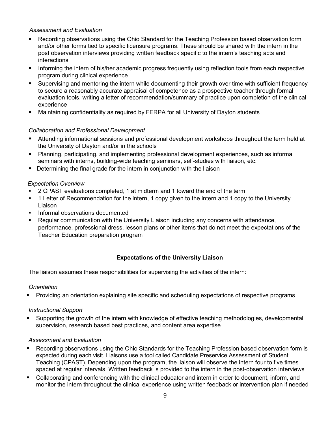#### *Assessment and Evaluation*

- Recording observations using the Ohio Standard for the Teaching Profession based observation form and/or other forms tied to specific licensure programs. These should be shared with the intern in the post observation interviews providing written feedback specific to the intern's teaching acts and interactions
- Informing the intern of his/her academic progress frequently using reflection tools from each respective program during clinical experience
- Supervising and mentoring the intern while documenting their growth over time with sufficient frequency to secure a reasonably accurate appraisal of competence as a prospective teacher through formal evaluation tools, writing a letter of recommendation/summary of practice upon completion of the clinical experience
- Maintaining confidentiality as required by FERPA for all University of Dayton students

## *Collaboration and Professional Development*

- Attending informational sessions and professional development workshops throughout the term held at the University of Dayton and/or in the schools
- Planning, participating, and implementing professional development experiences, such as informal seminars with interns, building-wide teaching seminars, self-studies with liaison, etc.
- **Determining the final grade for the intern in conjunction with the liaison**

#### *Expectation Overview*

- **2 CPAST evaluations completed, 1 at midterm and 1 toward the end of the term**
- 1 Letter of Recommendation for the intern, 1 copy given to the intern and 1 copy to the University Liaison
- Informal observations documented
- Regular communication with the University Liaison including any concerns with attendance, performance, professional dress, lesson plans or other items that do not meet the expectations of the Teacher Education preparation program

## **Expectations of the University Liaison**

The liaison assumes these responsibilities for supervising the activities of the intern:

#### *Orientation*

Providing an orientation explaining site specific and scheduling expectations of respective programs

#### *Instructional Support*

 Supporting the growth of the intern with knowledge of effective teaching methodologies, developmental supervision, research based best practices, and content area expertise

#### *Assessment and Evaluation*

- Recording observations using the Ohio Standards for the Teaching Profession based observation form is expected during each visit. Liaisons use a tool called Candidate Preservice Assessment of Student Teaching (CPAST). Depending upon the program, the liaison will observe the intern four to five times spaced at regular intervals. Written feedback is provided to the intern in the post-observation interviews
- Collaborating and conferencing with the clinical educator and intern in order to document, inform, and monitor the intern throughout the clinical experience using written feedback or intervention plan if needed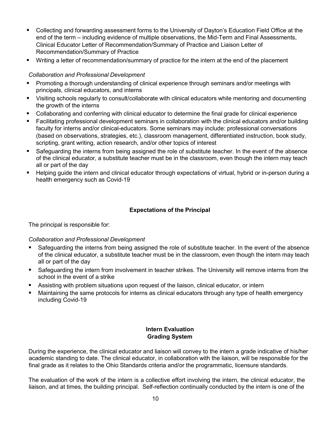- Collecting and forwarding assessment forms to the University of Dayton's Education Field Office at the end of the term – including evidence of multiple observations, the Mid-Term and Final Assessments, Clinical Educator Letter of Recommendation/Summary of Practice and Liaison Letter of Recommendation/Summary of Practice
- Writing a letter of recommendation/summary of practice for the intern at the end of the placement

#### *Collaboration and Professional Development*

- Promoting a thorough understanding of clinical experience through seminars and/or meetings with principals, clinical educators, and interns
- Visiting schools regularly to consult/collaborate with clinical educators while mentoring and documenting the growth of the interns
- Collaborating and conferring with clinical educator to determine the final grade for clinical experience
- Facilitating professional development seminars in collaboration with the clinical educators and/or building faculty for interns and/or clinical-educators. Some seminars may include: professional conversations (based on observations, strategies, etc.), classroom management, differentiated instruction, book study, scripting, grant writing, action research, and/or other topics of interest
- Safeguarding the interns from being assigned the role of substitute teacher. In the event of the absence of the clinical educator, a substitute teacher must be in the classroom, even though the intern may teach all or part of the day
- Helping guide the intern and clinical educator through expectations of virtual, hybrid or in-person during a health emergency such as Covid-19

#### **Expectations of the Principal**

The principal is responsible for:

#### *Collaboration and Professional Development*

- Safeguarding the interns from being assigned the role of substitute teacher. In the event of the absence of the clinical educator, a substitute teacher must be in the classroom, even though the intern may teach all or part of the day
- Safeguarding the intern from involvement in teacher strikes. The University will remove interns from the school in the event of a strike
- Assisting with problem situations upon request of the liaison, clinical educator, or intern
- Maintaining the same protocols for interns as clinical educators through any type of health emergency including Covid-19

#### **Intern Evaluation Grading System**

During the experience, the clinical educator and liaison will convey to the intern a grade indicative of his/her academic standing to date. The clinical educator, in collaboration with the liaison, will be responsible for the final grade as it relates to the Ohio Standards criteria and/or the programmatic, licensure standards.

The evaluation of the work of the intern is a collective effort involving the intern, the clinical educator, the liaison, and at times, the building principal. Self-reflection continually conducted by the intern is one of the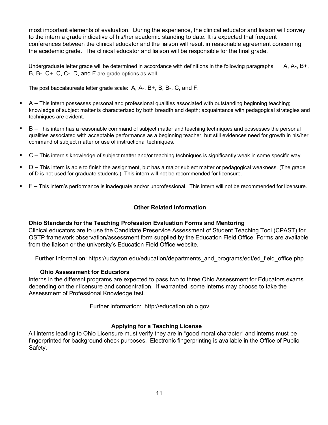most important elements of evaluation. During the experience, the clinical educator and liaison will convey to the intern a grade indicative of his/her academic standing to date. It is expected that frequent conferences between the clinical educator and the liaison will result in reasonable agreement concerning the academic grade. The clinical educator and liaison will be responsible for the final grade.

Undergraduate letter grade will be determined in accordance with definitions in the following paragraphs.  $A, A-, B+,$ B, B-, C+, C, C-, D, and F are grade options as well.

The post baccalaureate letter grade scale: A, A-, B+, B, B-, C, and F.

- techniques are evident.  $\blacksquare$  A – This intern possesses personal and professional qualities associated with outstanding beginning teaching; knowledge of subject matter is characterized by both breadth and depth; acquaintance with pedagogical strategies and
- command of subject matter or use of instructional techniques. ■ B – This intern has a reasonable command of subject matter and teaching techniques and possesses the personal qualities associated with acceptable performance as a beginning teacher, but still evidences need for growth in his/her
- C This intern's knowledge of subject matter and/or teaching techniques is significantly weak in some specific way.
- D This intern is able to finish the assignment, but has a major subject matter or pedagogical weakness. (The grade of D is not used for graduate students.) This intern will not be recommended for licensure.
- F This intern's performance is inadequate and/or unprofessional. This intern will not be recommended for licensure.

## **Other Related Information**

#### **Ohio Standards for the Teaching Profession Evaluation Forms and Mentoring**

 OSTP framework observation/assessment form supplied by the Education Field Office. Forms are available from the liaison or the university's Education Field Office website. Clinical educators are to use the Candidate Preservice Assessment of Student Teaching Tool (CPAST) for

Further Information: https://udayton.edu/education/departments\_and\_programs/edt/ed\_field\_office.php

#### **Ohio Assessment for Educators**

 Interns in the different programs are expected to pass two to three Ohio Assessment for Educators exams depending on their licensure and concentration. If warranted, some interns may choose to take the Assessment of Professional Knowledge test.

Further information: http://education.ohio.gov

#### **Applying for a Teaching License**

 fingerprinted for background check purposes. Electronic fingerprinting is available in the Office of Public All interns leading to Ohio Licensure must verify they are in "good moral character" and interns must be Safety.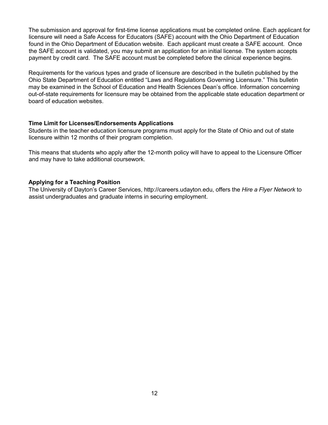The submission and approval for first-time license applications must be completed online. Each applicant for licensure will need a Safe Access for Educators (SAFE) account with the Ohio Department of Education found in the Ohio Department of Education website. Each applicant must create a SAFE account. Once the SAFE account is validated, you may submit an application for an initial license. The system accepts payment by credit card. The SAFE account must be completed before the clinical experience begins.

Requirements for the various types and grade of licensure are described in the bulletin published by the Ohio State Department of Education entitled "Laws and Regulations Governing Licensure." This bulletin may be examined in the School of Education and Health Sciences Dean's office. Information concerning out-of-state requirements for licensure may be obtained from the applicable state education department or board of education websites.

#### **Time Limit for Licenses/Endorsements Applications**

Students in the teacher education licensure programs must apply for the State of Ohio and out of state licensure within 12 months of their program completion.

This means that students who apply after the 12-month policy will have to appeal to the Licensure Officer and may have to take additional coursework.

#### **Applying for a Teaching Position**

The University of Dayton's Career Services, http://careers.udayton.edu, offers the *Hire a Flyer Network* to assist undergraduates and graduate interns in securing employment.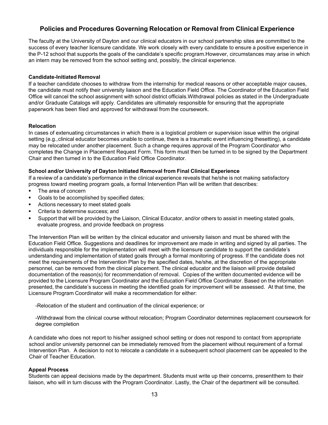## **Policies and Procedures Governing Relocation or Removal from Clinical Experience**

 success of every teacher licensure candidate. We work closely with every candidate to ensure a positive experience in the P-12 school that supports the goals of the candidate's specific program.However, circumstances may arise in which an intern may be removed from the school setting and, possibly, the clinical experience. The faculty at the University of Dayton and our clinical educators in our school partnership sites are committed to the

#### **Candidate-Initiated Removal**

 If a teacher candidate chooses to withdraw from the internship for medical reasons or other acceptable major causes, the candidate must notify their university liaison and the Education Field Office. The Coordinator of the Education Field Office will cancel the school assignment with school district officials.Withdrawal policies as stated in the Undergraduate paperwork has been filed and approved for withdrawal from the coursework. and/or Graduate Catalogs will apply. Candidates are ultimately responsible for ensuring that the appropriate

#### **Relocation**

 In cases of extenuating circumstances in which there is a logistical problem or supervision issue within the original setting (e.g.,clinical educator becomes unable to continue, there is a traumatic event influencing thesetting), a candidate may be relocated under another placement. Such a change requires approval of the Program Coordinator who completes the Change in Placement Request Form. This form must then be turned in to be signed by the Department Chair and then turned in to the Education Field Office Coordinator.

#### **School and/or University of Dayton Initiated Removal from Final Clinical Experience**

 If a review of a candidate's performance in the clinical experience reveals that he/she is not making satisfactory progress toward meeting program goals, a formal Intervention Plan will be written that describes:

- **The area of concern**
- **Goals to be accomplished by specified dates;**
- **Actions necessary to meet stated goals**
- **Criteria to determine success; and**
- Support that will be provided by the Liaison, Clinical Educator, and/or others to assist in meeting stated goals, evaluate progress, and provide feedback on progress

 The Intervention Plan will be written by the clinical educator and university liaison and must be shared with the Education Field Office. Suggestions and deadlines for improvement are made in writing and signed by all parties. The understanding and implementation of stated goals through a formal monitoring of progress. If the candidate does not meet the requirements of the Intervention Plan by the specified dates, he/she, at the discretion of the appropriate personnel, can be removed from the clinical placement. The clinical educator and the liaison will provide detailed .<br>documentation of the reason(s) for recommendation of removal. Copies of the written documented evidence will be provided to the Licensure Program Coordinator and the Education Field Office Coordinator. Based on the information Licensure Program Coordinator will make a recommendation for either: individuals responsible for the implementation will meet with the licensure candidate to support the candidate's presented, the candidate's success in meeting the identified goals for improvement will be assessed. At that time, the

-Relocation of the student and continuation of the clinical experience; or

-Withdrawal from the clinical course without relocation; Program Coordinator determines replacement coursework for degree completion

A candidate who does not report to his/her assigned school setting or does not respond to contact from appropriate school and/or university personnel can be immediately removed from the placement without requirement of a formal Intervention Plan. A decision to not to relocate a candidate in a subsequent school placement can be appealed to the Chair of Teacher Education.

#### **Appeal Process**

Students can appeal decisions made by the department. Students must write up their concerns, presentthem to their liaison, who will in turn discuss with the Program Coordinator. Lastly, the Chair of the department will be consulted.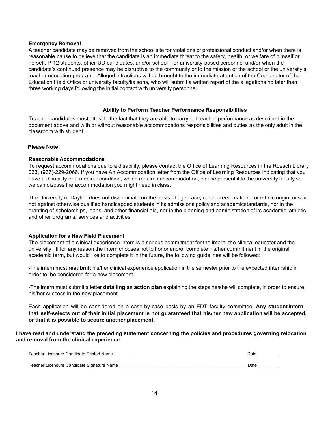#### **Emergency Removal**

 A teacher candidate may be removed from the school site for violations of professional conduct and/or when there is herself, P-12 students, other UD candidates, and/or school – or university-based personnel and/or when the candidate's continued presence may be disruptive to the community or to the mission of the school or the university's teacher education program. Alleged infractions will be brought to the immediate attention of the Coordinator of the Education Field Office or university faculty/liaisons, who will submit a written report of the allegations no later than reasonable cause to believe that the candidate is an immediate threat to the safety, health, or welfare of himself or three working days following the initial contact with university personnel.

## **Ability to Perform Teacher Performance Responsibilities**

 Teacher candidates must attest to the fact that they are able to carry out teacher performance as described in the  classroom with student. document above and with or without reasonable accommodations responsibilities and duties as the only adult in the

#### **Please Note:**

#### **Reasonable Accommodations**

 To request accommodations due to a disability; please contact the Office of Learning Resources in the Roesch Library 033, (937)-229-2066. If you have An Accommodation letter from the Office of Learning Resources indicating that you have a disability or a medical condition, which requires accommodation, please present it to the university faculty so we can discuss the accommodation you might need in class.

 The University of Dayton does not discriminate on the basis of age, race, color, creed, national or ethnic origin, or sex, not against otherwise qualified handicapped students in its admissions policy and academicstandards, nor in the granting of scholarships, loans, and other financial aid, nor in the planning and administration of its academic, athletic, and other programs, services and activities.

#### **Application for a New Field Placement**

 The placement of a clinical experience intern is a serious commitment for the intern, the clinical educator and the university. If for any reason the intern chooses not to honor and/or complete his/her commitment in the original academic term, but would like to complete it in the future, the following guidelines will be followed:

 -The intern must **resubmit** his/her clinical experience application in the semester prior to the expected internship in order to be considered for a new placement.

 -The intern must submit a letter **detailing an action plan** explaining the steps he/she will complete, in order to ensure  his/her success in the new placement.

Each application will be considered on a case-by-case basis by an EDT faculty committee. **Any studentintern that self-selects out of their initial placement is not guaranteed that his/her new application will be accepted, or that it is possible to secure another placement.**

 **and removal from the clinical experience. I have read and understand the preceding statement concerning the policies and procedures governing relocation**

| Teacher Licensure Candidate Printed Name   | Date |  |
|--------------------------------------------|------|--|
|                                            |      |  |
| Teacher Licensure Candidate Signature Name | Date |  |